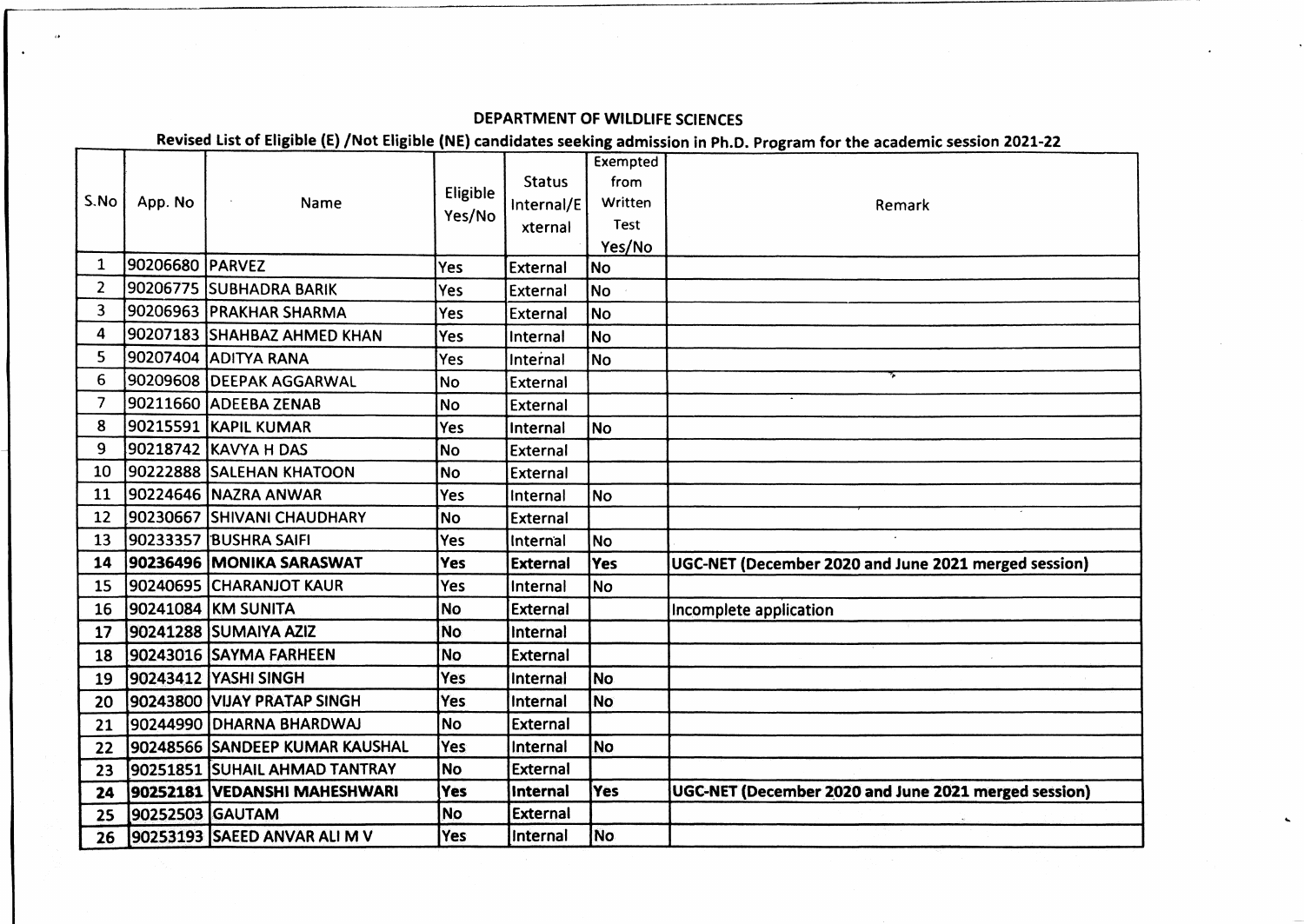## **DEPARTMENT OF WILDLIFE SCIENCES**

Revised List of Eligible (E) /Not Eligible (NE) candidates seeking admission in Ph.D. Program for the academic session 2021-22

|                 | App. No         | Name                           | Eligible<br>Yes/No |                 | Exempted    |                                                      |
|-----------------|-----------------|--------------------------------|--------------------|-----------------|-------------|------------------------------------------------------|
| S.No            |                 |                                |                    | <b>Status</b>   | from        |                                                      |
|                 |                 |                                |                    | Internal/E      | Written     | Remark                                               |
|                 |                 |                                |                    | xternal         | <b>Test</b> |                                                      |
|                 |                 |                                |                    |                 | Yes/No      |                                                      |
| $\mathbf{1}$    | 90206680 PARVEZ |                                | Yes                | External        | <b>No</b>   |                                                      |
| $\overline{2}$  |                 | 90206775 SUBHADRA BARIK        | Yes                | External        | <b>No</b>   |                                                      |
| 3               |                 | 90206963 PRAKHAR SHARMA        | Yes                | External        | <b>No</b>   |                                                      |
| 4               |                 | 90207183 SHAHBAZ AHMED KHAN    | Yes                | Internal        | lNo         |                                                      |
| 5               |                 | 90207404 ADITYA RANA           | Yes                | Internal        | No l        |                                                      |
| 6               |                 | 90209608 DEEPAK AGGARWAL       | <b>No</b>          | External        |             |                                                      |
| 7               |                 | 90211660 ADEEBA ZENAB          | <b>No</b>          | External        |             |                                                      |
| 8               |                 | 90215591 KAPIL KUMAR           | Yes                | Internal        | <b>No</b>   |                                                      |
| 9               |                 | 90218742 KAVYA H DAS           | <b>No</b>          | External        |             |                                                      |
| 10              |                 | 90222888 SALEHAN KHATOON       | <b>No</b>          | <b>External</b> |             |                                                      |
| 11              |                 | 90224646 NAZRA ANWAR           | Yes                | Internal        | <b>No</b>   |                                                      |
| 12 <sup>2</sup> |                 | 90230667 SHIVANI CHAUDHARY     | <b>No</b>          | External        |             |                                                      |
| 13              |                 | 90233357 BUSHRA SAIFI          | Yes                | Internal        | <b>No</b>   |                                                      |
| 14              |                 | 90236496 MONIKA SARASWAT       | Yes                | <b>External</b> | Yes         | UGC-NET (December 2020 and June 2021 merged session) |
| 15              |                 | 90240695 CHARANJOT KAUR        | Yes                | Internal        | <b>No</b>   |                                                      |
| 16              |                 | 90241084 KM SUNITA             | <b>No</b>          | <b>External</b> |             | Incomplete application                               |
| 17              |                 | 90241288 SUMAIYA AZIZ          | <b>No</b>          | Internal        |             |                                                      |
| 18              |                 | 90243016 SAYMA FARHEEN         | <b>No</b>          | <b>External</b> |             |                                                      |
| 19              |                 | 90243412 YASHI SINGH           | <b>Yes</b>         | Internal        | No.         |                                                      |
| 20              |                 | 90243800 VIJAY PRATAP SINGH    | Yes                | Internal        | No          |                                                      |
| 21              |                 | 90244990 DHARNA BHARDWAJ       | <b>No</b>          | <b>External</b> |             |                                                      |
| 22              |                 | 90248566 SANDEEP KUMAR KAUSHAL | Yes                | Internal        | No.         |                                                      |
| 23              |                 | 90251851 SUHAIL AHMAD TANTRAY  | <b>No</b>          | <b>External</b> |             |                                                      |
| 24              |                 | 90252181 VEDANSHI MAHESHWARI   | Yes                | <b>Internal</b> | Yes         | UGC-NET (December 2020 and June 2021 merged session) |
| 25              | 90252503 GAUTAM |                                | <b>No</b>          | <b>External</b> |             |                                                      |
| 26              |                 | 90253193 SAEED ANVAR ALI M V   | Yes                | Internal        | lNo.        |                                                      |